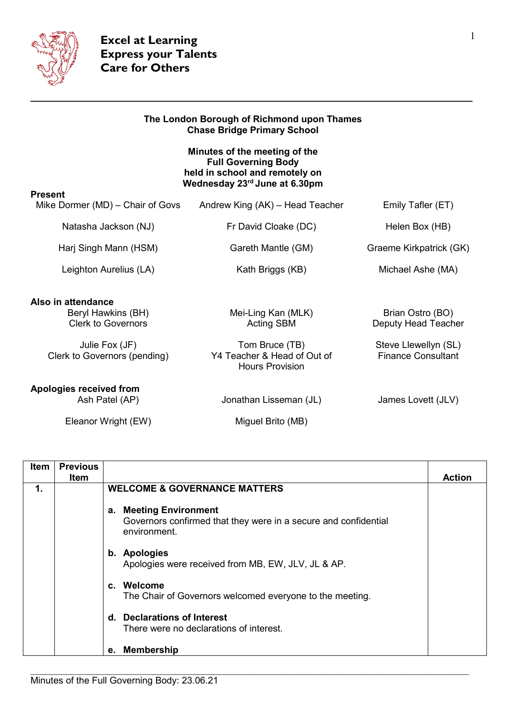

|                                                                                                                         | The London Borough of Richmond upon Thames<br><b>Chase Bridge Primary School</b>                                               |                                                                                              |
|-------------------------------------------------------------------------------------------------------------------------|--------------------------------------------------------------------------------------------------------------------------------|----------------------------------------------------------------------------------------------|
|                                                                                                                         | Minutes of the meeting of the<br><b>Full Governing Body</b><br>held in school and remotely on<br>Wednesday 23rd June at 6.30pm |                                                                                              |
| <b>Present</b><br>Mike Dormer (MD) – Chair of Govs                                                                      | Andrew King (AK) – Head Teacher                                                                                                | Emily Tafler (ET)                                                                            |
| Natasha Jackson (NJ)                                                                                                    | Fr David Cloake (DC)                                                                                                           | Helen Box (HB)                                                                               |
| Harj Singh Mann (HSM)                                                                                                   | Gareth Mantle (GM)                                                                                                             | Graeme Kirkpatrick (GK)                                                                      |
| Leighton Aurelius (LA)                                                                                                  | Kath Briggs (KB)                                                                                                               | Michael Ashe (MA)                                                                            |
| Also in attendance<br>Beryl Hawkins (BH)<br><b>Clerk to Governors</b><br>Julie Fox (JF)<br>Clerk to Governors (pending) | Mei-Ling Kan (MLK)<br><b>Acting SBM</b><br>Tom Bruce (TB)<br>Y4 Teacher & Head of Out of<br><b>Hours Provision</b>             | Brian Ostro (BO)<br>Deputy Head Teacher<br>Steve Llewellyn (SL)<br><b>Finance Consultant</b> |
| Apologies received from<br>Ash Patel (AP)                                                                               | Jonathan Lisseman (JL)                                                                                                         | James Lovett (JLV)                                                                           |
| Eleanor Wright (EW)                                                                                                     | Miguel Brito (MB)                                                                                                              |                                                                                              |

| <b>Item</b> | <b>Previous</b><br>Item |                                                                                                           | <b>Action</b> |
|-------------|-------------------------|-----------------------------------------------------------------------------------------------------------|---------------|
| 1.          |                         | <b>WELCOME &amp; GOVERNANCE MATTERS</b>                                                                   |               |
|             |                         | a. Meeting Environment<br>Governors confirmed that they were in a secure and confidential<br>environment. |               |
|             |                         | b. Apologies<br>Apologies were received from MB, EW, JLV, JL & AP.                                        |               |
|             |                         | c. Welcome<br>The Chair of Governors welcomed everyone to the meeting.                                    |               |
|             |                         | d. Declarations of Interest<br>There were no declarations of interest.                                    |               |
|             |                         | e. Membership                                                                                             |               |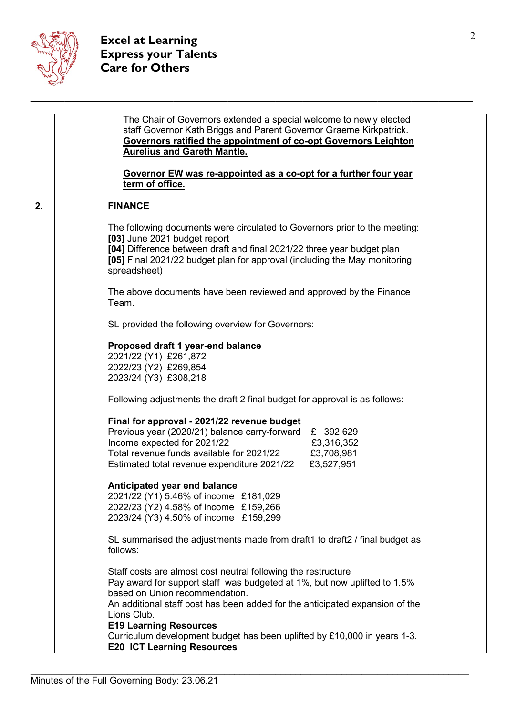

|    | The Chair of Governors extended a special welcome to newly elected<br>staff Governor Kath Briggs and Parent Governor Graeme Kirkpatrick.<br>Governors ratified the appointment of co-opt Governors Leighton<br><b>Aurelius and Gareth Mantle.</b><br>Governor EW was re-appointed as a co-opt for a further four year<br>term of office.                                                                                     |
|----|------------------------------------------------------------------------------------------------------------------------------------------------------------------------------------------------------------------------------------------------------------------------------------------------------------------------------------------------------------------------------------------------------------------------------|
| 2. | <b>FINANCE</b>                                                                                                                                                                                                                                                                                                                                                                                                               |
|    | The following documents were circulated to Governors prior to the meeting:<br>[03] June 2021 budget report<br>[04] Difference between draft and final 2021/22 three year budget plan<br>[05] Final 2021/22 budget plan for approval (including the May monitoring<br>spreadsheet)                                                                                                                                            |
|    | The above documents have been reviewed and approved by the Finance<br>Team.                                                                                                                                                                                                                                                                                                                                                  |
|    | SL provided the following overview for Governors:                                                                                                                                                                                                                                                                                                                                                                            |
|    | Proposed draft 1 year-end balance<br>2021/22 (Y1) £261,872<br>2022/23 (Y2) £269,854<br>2023/24 (Y3) £308,218                                                                                                                                                                                                                                                                                                                 |
|    | Following adjustments the draft 2 final budget for approval is as follows:                                                                                                                                                                                                                                                                                                                                                   |
|    | Final for approval - 2021/22 revenue budget<br>Previous year (2020/21) balance carry-forward<br>£ 392,629<br>Income expected for 2021/22<br>£3,316,352<br>Total revenue funds available for 2021/22<br>£3,708,981<br>£3,527,951<br>Estimated total revenue expenditure 2021/22                                                                                                                                               |
|    | Anticipated year end balance<br>2021/22 (Y1) 5.46% of income £181,029<br>2022/23 (Y2) 4.58% of income £159,266<br>2023/24 (Y3) 4.50% of income £159,299                                                                                                                                                                                                                                                                      |
|    | SL summarised the adjustments made from draft1 to draft2 / final budget as<br>follows:                                                                                                                                                                                                                                                                                                                                       |
|    | Staff costs are almost cost neutral following the restructure<br>Pay award for support staff was budgeted at 1%, but now uplifted to 1.5%<br>based on Union recommendation.<br>An additional staff post has been added for the anticipated expansion of the<br>Lions Club.<br><b>E19 Learning Resources</b><br>Curriculum development budget has been uplifted by £10,000 in years 1-3.<br><b>E20 ICT Learning Resources</b> |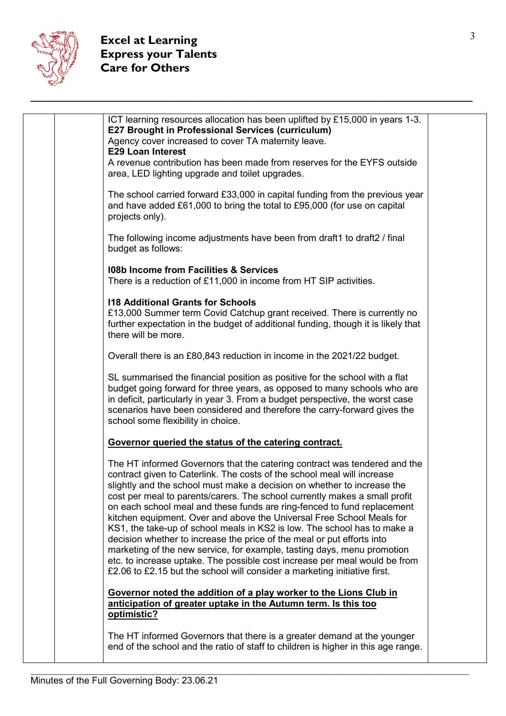

|  | ICT learning resources allocation has been uplifted by £15,000 in years 1-3.<br><b>E27 Brought in Professional Services (curriculum)</b>                                                                                                                                                                                                                                                                                                                                                                                                                                                                                                                                                                                                                                                                                                                      |  |
|--|---------------------------------------------------------------------------------------------------------------------------------------------------------------------------------------------------------------------------------------------------------------------------------------------------------------------------------------------------------------------------------------------------------------------------------------------------------------------------------------------------------------------------------------------------------------------------------------------------------------------------------------------------------------------------------------------------------------------------------------------------------------------------------------------------------------------------------------------------------------|--|
|  | Agency cover increased to cover TA maternity leave.<br><b>E29 Loan Interest</b>                                                                                                                                                                                                                                                                                                                                                                                                                                                                                                                                                                                                                                                                                                                                                                               |  |
|  | A revenue contribution has been made from reserves for the EYFS outside<br>area, LED lighting upgrade and toilet upgrades.                                                                                                                                                                                                                                                                                                                                                                                                                                                                                                                                                                                                                                                                                                                                    |  |
|  | The school carried forward £33,000 in capital funding from the previous year<br>and have added £61,000 to bring the total to £95,000 (for use on capital<br>projects only).                                                                                                                                                                                                                                                                                                                                                                                                                                                                                                                                                                                                                                                                                   |  |
|  | The following income adjustments have been from draft1 to draft2 / final<br>budget as follows:                                                                                                                                                                                                                                                                                                                                                                                                                                                                                                                                                                                                                                                                                                                                                                |  |
|  | 108b Income from Facilities & Services<br>There is a reduction of £11,000 in income from HT SIP activities.                                                                                                                                                                                                                                                                                                                                                                                                                                                                                                                                                                                                                                                                                                                                                   |  |
|  | <b>118 Additional Grants for Schools</b><br>£13,000 Summer term Covid Catchup grant received. There is currently no<br>further expectation in the budget of additional funding, though it is likely that<br>there will be more.                                                                                                                                                                                                                                                                                                                                                                                                                                                                                                                                                                                                                               |  |
|  | Overall there is an £80,843 reduction in income in the 2021/22 budget.                                                                                                                                                                                                                                                                                                                                                                                                                                                                                                                                                                                                                                                                                                                                                                                        |  |
|  | SL summarised the financial position as positive for the school with a flat<br>budget going forward for three years, as opposed to many schools who are<br>in deficit, particularly in year 3. From a budget perspective, the worst case<br>scenarios have been considered and therefore the carry-forward gives the<br>school some flexibility in choice.                                                                                                                                                                                                                                                                                                                                                                                                                                                                                                    |  |
|  | Governor queried the status of the catering contract.                                                                                                                                                                                                                                                                                                                                                                                                                                                                                                                                                                                                                                                                                                                                                                                                         |  |
|  | The HT informed Governors that the catering contract was tendered and the<br>contract given to Caterlink. The costs of the school meal will increase<br>slightly and the school must make a decision on whether to increase the<br>cost per meal to parents/carers. The school currently makes a small profit<br>on each school meal and these funds are ring-fenced to fund replacement<br>kitchen equipment. Over and above the Universal Free School Meals for<br>KS1, the take-up of school meals in KS2 is low. The school has to make a<br>decision whether to increase the price of the meal or put efforts into<br>marketing of the new service, for example, tasting days, menu promotion<br>etc. to increase uptake. The possible cost increase per meal would be from<br>£2.06 to £2.15 but the school will consider a marketing initiative first. |  |
|  | Governor noted the addition of a play worker to the Lions Club in<br>anticipation of greater uptake in the Autumn term. Is this too<br>optimistic?                                                                                                                                                                                                                                                                                                                                                                                                                                                                                                                                                                                                                                                                                                            |  |
|  | The HT informed Governors that there is a greater demand at the younger<br>end of the school and the ratio of staff to children is higher in this age range.                                                                                                                                                                                                                                                                                                                                                                                                                                                                                                                                                                                                                                                                                                  |  |
|  |                                                                                                                                                                                                                                                                                                                                                                                                                                                                                                                                                                                                                                                                                                                                                                                                                                                               |  |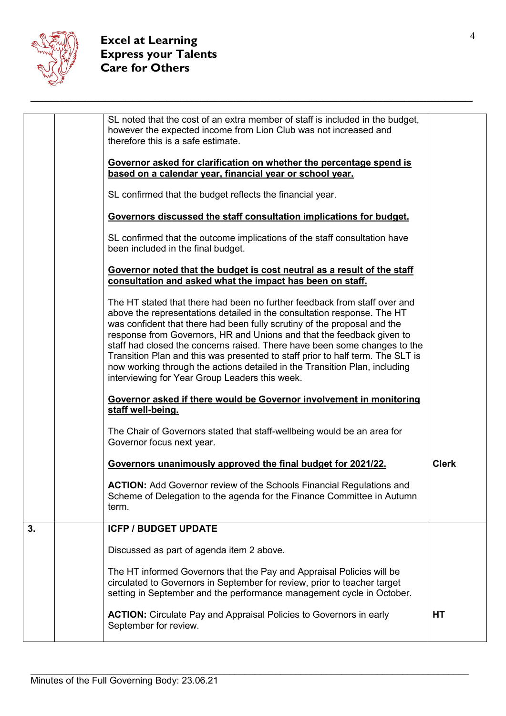

|    | SL noted that the cost of an extra member of staff is included in the budget,<br>however the expected income from Lion Club was not increased and<br>therefore this is a safe estimate.                                                                                                                                                                                                                                                                                                                                                                                                                  |              |
|----|----------------------------------------------------------------------------------------------------------------------------------------------------------------------------------------------------------------------------------------------------------------------------------------------------------------------------------------------------------------------------------------------------------------------------------------------------------------------------------------------------------------------------------------------------------------------------------------------------------|--------------|
|    | Governor asked for clarification on whether the percentage spend is<br>based on a calendar year, financial year or school year.                                                                                                                                                                                                                                                                                                                                                                                                                                                                          |              |
|    | SL confirmed that the budget reflects the financial year.                                                                                                                                                                                                                                                                                                                                                                                                                                                                                                                                                |              |
|    | Governors discussed the staff consultation implications for budget.                                                                                                                                                                                                                                                                                                                                                                                                                                                                                                                                      |              |
|    | SL confirmed that the outcome implications of the staff consultation have<br>been included in the final budget.                                                                                                                                                                                                                                                                                                                                                                                                                                                                                          |              |
|    | Governor noted that the budget is cost neutral as a result of the staff<br>consultation and asked what the impact has been on staff.                                                                                                                                                                                                                                                                                                                                                                                                                                                                     |              |
|    | The HT stated that there had been no further feedback from staff over and<br>above the representations detailed in the consultation response. The HT<br>was confident that there had been fully scrutiny of the proposal and the<br>response from Governors, HR and Unions and that the feedback given to<br>staff had closed the concerns raised. There have been some changes to the<br>Transition Plan and this was presented to staff prior to half term. The SLT is<br>now working through the actions detailed in the Transition Plan, including<br>interviewing for Year Group Leaders this week. |              |
|    | Governor asked if there would be Governor involvement in monitoring<br>staff well-being.                                                                                                                                                                                                                                                                                                                                                                                                                                                                                                                 |              |
|    | The Chair of Governors stated that staff-wellbeing would be an area for<br>Governor focus next year.                                                                                                                                                                                                                                                                                                                                                                                                                                                                                                     |              |
|    | Governors unanimously approved the final budget for 2021/22.                                                                                                                                                                                                                                                                                                                                                                                                                                                                                                                                             | <b>Clerk</b> |
|    | <b>ACTION:</b> Add Governor review of the Schools Financial Regulations and<br>Scheme of Delegation to the agenda for the Finance Committee in Autumn<br>term.                                                                                                                                                                                                                                                                                                                                                                                                                                           |              |
| 3. | <b>ICFP / BUDGET UPDATE</b>                                                                                                                                                                                                                                                                                                                                                                                                                                                                                                                                                                              |              |
|    | Discussed as part of agenda item 2 above.                                                                                                                                                                                                                                                                                                                                                                                                                                                                                                                                                                |              |
|    | The HT informed Governors that the Pay and Appraisal Policies will be<br>circulated to Governors in September for review, prior to teacher target<br>setting in September and the performance management cycle in October.                                                                                                                                                                                                                                                                                                                                                                               |              |
|    | <b>ACTION:</b> Circulate Pay and Appraisal Policies to Governors in early<br>September for review.                                                                                                                                                                                                                                                                                                                                                                                                                                                                                                       | <b>HT</b>    |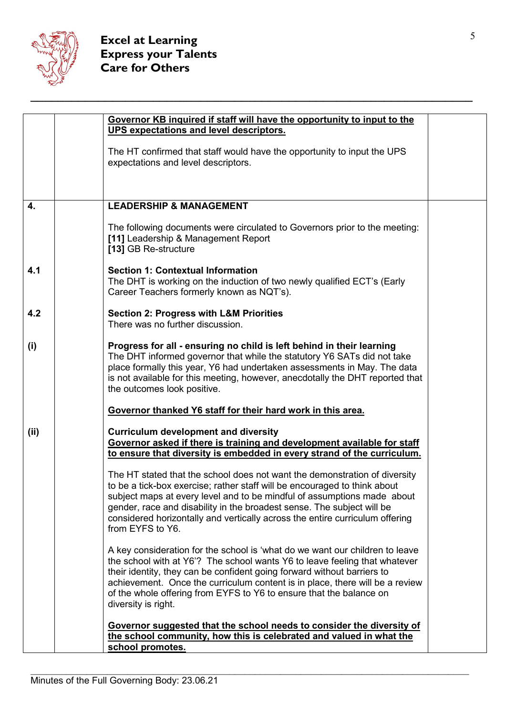

|                  | Governor KB inquired if staff will have the opportunity to input to the                                                                                                                                                                                                                                                                                                                                             |  |
|------------------|---------------------------------------------------------------------------------------------------------------------------------------------------------------------------------------------------------------------------------------------------------------------------------------------------------------------------------------------------------------------------------------------------------------------|--|
|                  | UPS expectations and level descriptors.                                                                                                                                                                                                                                                                                                                                                                             |  |
|                  | The HT confirmed that staff would have the opportunity to input the UPS<br>expectations and level descriptors.                                                                                                                                                                                                                                                                                                      |  |
|                  |                                                                                                                                                                                                                                                                                                                                                                                                                     |  |
| $\overline{4}$ . | <b>LEADERSHIP &amp; MANAGEMENT</b>                                                                                                                                                                                                                                                                                                                                                                                  |  |
|                  | The following documents were circulated to Governors prior to the meeting:<br>[11] Leadership & Management Report<br>[13] GB Re-structure                                                                                                                                                                                                                                                                           |  |
| 4.1              | <b>Section 1: Contextual Information</b><br>The DHT is working on the induction of two newly qualified ECT's (Early<br>Career Teachers formerly known as NQT's).                                                                                                                                                                                                                                                    |  |
| 4.2              | <b>Section 2: Progress with L&amp;M Priorities</b><br>There was no further discussion.                                                                                                                                                                                                                                                                                                                              |  |
| (i)              | Progress for all - ensuring no child is left behind in their learning<br>The DHT informed governor that while the statutory Y6 SATs did not take<br>place formally this year, Y6 had undertaken assessments in May. The data<br>is not available for this meeting, however, anecdotally the DHT reported that<br>the outcomes look positive.                                                                        |  |
|                  | Governor thanked Y6 staff for their hard work in this area.                                                                                                                                                                                                                                                                                                                                                         |  |
| (iii)            | <b>Curriculum development and diversity</b><br>Governor asked if there is training and development available for staff<br>to ensure that diversity is embedded in every strand of the curriculum.                                                                                                                                                                                                                   |  |
|                  | The HT stated that the school does not want the demonstration of diversity<br>to be a tick-box exercise; rather staff will be encouraged to think about<br>subject maps at every level and to be mindful of assumptions made about<br>gender, race and disability in the broadest sense. The subject will be<br>considered horizontally and vertically across the entire curriculum offering<br>from EYFS to Y6.    |  |
|                  | A key consideration for the school is 'what do we want our children to leave<br>the school with at Y6'? The school wants Y6 to leave feeling that whatever<br>their identity, they can be confident going forward without barriers to<br>achievement. Once the curriculum content is in place, there will be a review<br>of the whole offering from EYFS to Y6 to ensure that the balance on<br>diversity is right. |  |
|                  | <u>Governor suggested that the school needs to consider the diversity of</u><br>the school community, how this is celebrated and valued in what the<br>school promotes.                                                                                                                                                                                                                                             |  |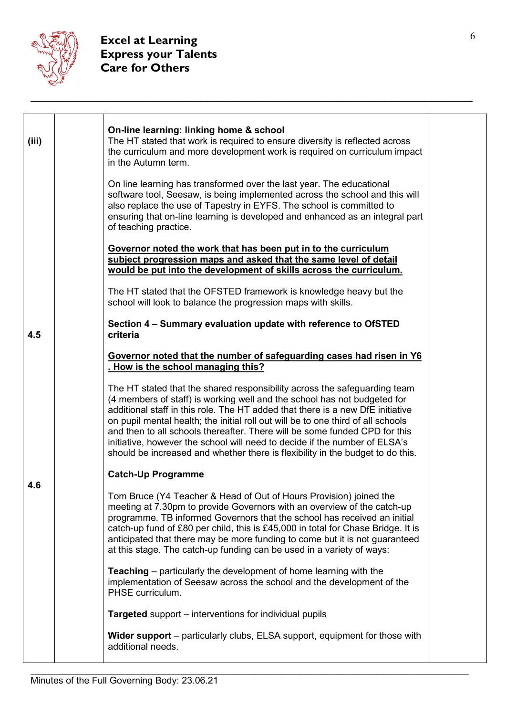

| (iii) | On-line learning: linking home & school<br>The HT stated that work is required to ensure diversity is reflected across<br>the curriculum and more development work is required on curriculum impact<br>in the Autumn term.                                                                                                                                                                                                                                                                                                                                                |  |
|-------|---------------------------------------------------------------------------------------------------------------------------------------------------------------------------------------------------------------------------------------------------------------------------------------------------------------------------------------------------------------------------------------------------------------------------------------------------------------------------------------------------------------------------------------------------------------------------|--|
|       | On line learning has transformed over the last year. The educational<br>software tool, Seesaw, is being implemented across the school and this will<br>also replace the use of Tapestry in EYFS. The school is committed to<br>ensuring that on-line learning is developed and enhanced as an integral part<br>of teaching practice.                                                                                                                                                                                                                                      |  |
|       | Governor noted the work that has been put in to the curriculum<br>subject progression maps and asked that the same level of detail<br>would be put into the development of skills across the curriculum.                                                                                                                                                                                                                                                                                                                                                                  |  |
|       | The HT stated that the OFSTED framework is knowledge heavy but the<br>school will look to balance the progression maps with skills.                                                                                                                                                                                                                                                                                                                                                                                                                                       |  |
| 4.5   | Section 4 - Summary evaluation update with reference to OfSTED<br>criteria                                                                                                                                                                                                                                                                                                                                                                                                                                                                                                |  |
|       | Governor noted that the number of safeguarding cases had risen in Y6<br>. How is the school managing this?                                                                                                                                                                                                                                                                                                                                                                                                                                                                |  |
|       | The HT stated that the shared responsibility across the safeguarding team<br>(4 members of staff) is working well and the school has not budgeted for<br>additional staff in this role. The HT added that there is a new DfE initiative<br>on pupil mental health; the initial roll out will be to one third of all schools<br>and then to all schools thereafter. There will be some funded CPD for this<br>initiative, however the school will need to decide if the number of ELSA's<br>should be increased and whether there is flexibility in the budget to do this. |  |
|       | <b>Catch-Up Programme</b>                                                                                                                                                                                                                                                                                                                                                                                                                                                                                                                                                 |  |
| 4.6   | Tom Bruce (Y4 Teacher & Head of Out of Hours Provision) joined the<br>meeting at 7.30pm to provide Governors with an overview of the catch-up<br>programme. TB informed Governors that the school has received an initial<br>catch-up fund of £80 per child, this is £45,000 in total for Chase Bridge. It is<br>anticipated that there may be more funding to come but it is not guaranteed<br>at this stage. The catch-up funding can be used in a variety of ways:                                                                                                     |  |
|       | <b>Teaching</b> – particularly the development of home learning with the<br>implementation of Seesaw across the school and the development of the<br>PHSE curriculum.                                                                                                                                                                                                                                                                                                                                                                                                     |  |
|       | <b>Targeted</b> support – interventions for individual pupils                                                                                                                                                                                                                                                                                                                                                                                                                                                                                                             |  |
|       | Wider support – particularly clubs, ELSA support, equipment for those with<br>additional needs.                                                                                                                                                                                                                                                                                                                                                                                                                                                                           |  |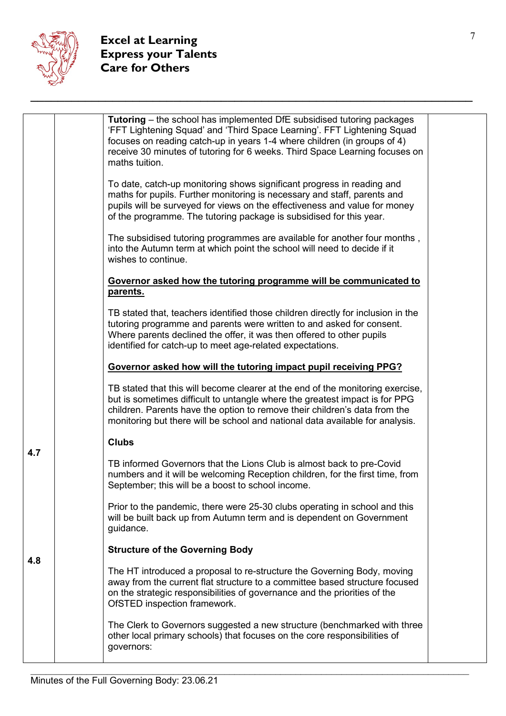

|     | <b>Tutoring</b> – the school has implemented DfE subsidised tutoring packages<br>'FFT Lightening Squad' and 'Third Space Learning'. FFT Lightening Squad<br>focuses on reading catch-up in years 1-4 where children (in groups of 4)<br>receive 30 minutes of tutoring for 6 weeks. Third Space Learning focuses on<br>maths tuition.<br>To date, catch-up monitoring shows significant progress in reading and<br>maths for pupils. Further monitoring is necessary and staff, parents and<br>pupils will be surveyed for views on the effectiveness and value for money<br>of the programme. The tutoring package is subsidised for this year.<br>The subsidised tutoring programmes are available for another four months,<br>into the Autumn term at which point the school will need to decide if it<br>wishes to continue.<br>Governor asked how the tutoring programme will be communicated to<br>parents.<br>TB stated that, teachers identified those children directly for inclusion in the<br>tutoring programme and parents were written to and asked for consent.<br>Where parents declined the offer, it was then offered to other pupils<br>identified for catch-up to meet age-related expectations.<br>Governor asked how will the tutoring impact pupil receiving PPG?<br>TB stated that this will become clearer at the end of the monitoring exercise,<br>but is sometimes difficult to untangle where the greatest impact is for PPG<br>children. Parents have the option to remove their children's data from the |
|-----|-----------------------------------------------------------------------------------------------------------------------------------------------------------------------------------------------------------------------------------------------------------------------------------------------------------------------------------------------------------------------------------------------------------------------------------------------------------------------------------------------------------------------------------------------------------------------------------------------------------------------------------------------------------------------------------------------------------------------------------------------------------------------------------------------------------------------------------------------------------------------------------------------------------------------------------------------------------------------------------------------------------------------------------------------------------------------------------------------------------------------------------------------------------------------------------------------------------------------------------------------------------------------------------------------------------------------------------------------------------------------------------------------------------------------------------------------------------------------------------------------------------------------------------------|
|     | monitoring but there will be school and national data available for analysis.<br><b>Clubs</b>                                                                                                                                                                                                                                                                                                                                                                                                                                                                                                                                                                                                                                                                                                                                                                                                                                                                                                                                                                                                                                                                                                                                                                                                                                                                                                                                                                                                                                           |
| 4.7 | TB informed Governors that the Lions Club is almost back to pre-Covid<br>numbers and it will be welcoming Reception children, for the first time, from<br>September; this will be a boost to school income.                                                                                                                                                                                                                                                                                                                                                                                                                                                                                                                                                                                                                                                                                                                                                                                                                                                                                                                                                                                                                                                                                                                                                                                                                                                                                                                             |
|     | Prior to the pandemic, there were 25-30 clubs operating in school and this<br>will be built back up from Autumn term and is dependent on Government<br>guidance.                                                                                                                                                                                                                                                                                                                                                                                                                                                                                                                                                                                                                                                                                                                                                                                                                                                                                                                                                                                                                                                                                                                                                                                                                                                                                                                                                                        |
|     | <b>Structure of the Governing Body</b>                                                                                                                                                                                                                                                                                                                                                                                                                                                                                                                                                                                                                                                                                                                                                                                                                                                                                                                                                                                                                                                                                                                                                                                                                                                                                                                                                                                                                                                                                                  |
| 4.8 | The HT introduced a proposal to re-structure the Governing Body, moving<br>away from the current flat structure to a committee based structure focused<br>on the strategic responsibilities of governance and the priorities of the<br>OfSTED inspection framework.                                                                                                                                                                                                                                                                                                                                                                                                                                                                                                                                                                                                                                                                                                                                                                                                                                                                                                                                                                                                                                                                                                                                                                                                                                                                     |
|     | The Clerk to Governors suggested a new structure (benchmarked with three<br>other local primary schools) that focuses on the core responsibilities of<br>governors:                                                                                                                                                                                                                                                                                                                                                                                                                                                                                                                                                                                                                                                                                                                                                                                                                                                                                                                                                                                                                                                                                                                                                                                                                                                                                                                                                                     |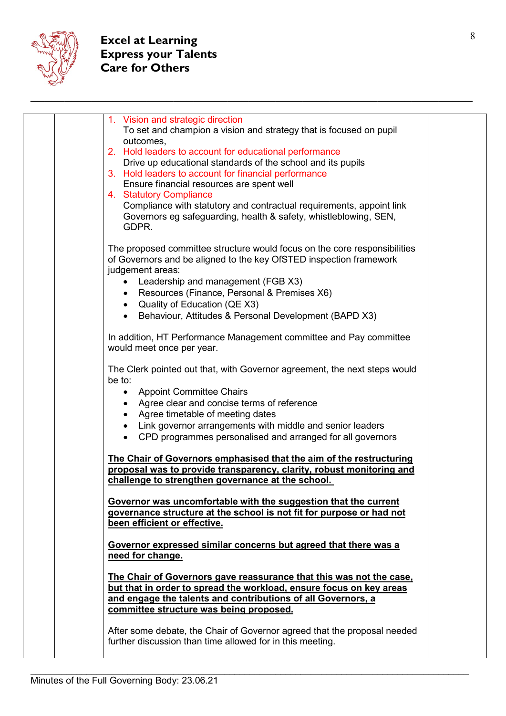

| 1. Vision and strategic direction<br>To set and champion a vision and strategy that is focused on pupil<br>outcomes,<br>2. Hold leaders to account for educational performance<br>Drive up educational standards of the school and its pupils<br>3. Hold leaders to account for financial performance<br>Ensure financial resources are spent well<br>4. Statutory Compliance<br>Compliance with statutory and contractual requirements, appoint link<br>Governors eg safeguarding, health & safety, whistleblowing, SEN,<br>GDPR. |  |
|------------------------------------------------------------------------------------------------------------------------------------------------------------------------------------------------------------------------------------------------------------------------------------------------------------------------------------------------------------------------------------------------------------------------------------------------------------------------------------------------------------------------------------|--|
| The proposed committee structure would focus on the core responsibilities<br>of Governors and be aligned to the key OfSTED inspection framework<br>judgement areas:<br>Leadership and management (FGB X3)<br>$\bullet$<br>Resources (Finance, Personal & Premises X6)<br>$\bullet$<br>• Quality of Education (QE X3)<br>Behaviour, Attitudes & Personal Development (BAPD X3)<br>In addition, HT Performance Management committee and Pay committee                                                                                |  |
| would meet once per year.                                                                                                                                                                                                                                                                                                                                                                                                                                                                                                          |  |
| The Clerk pointed out that, with Governor agreement, the next steps would<br>be to:<br>• Appoint Committee Chairs<br>Agree clear and concise terms of reference<br>Agree timetable of meeting dates<br>Link governor arrangements with middle and senior leaders<br>CPD programmes personalised and arranged for all governors<br>$\bullet$                                                                                                                                                                                        |  |
| The Chair of Governors emphasised that the aim of the restructuring<br>proposal was to provide transparency, clarity, robust monitoring and                                                                                                                                                                                                                                                                                                                                                                                        |  |
| challenge to strengthen governance at the school.                                                                                                                                                                                                                                                                                                                                                                                                                                                                                  |  |
| Governor was uncomfortable with the suggestion that the current<br>governance structure at the school is not fit for purpose or had not<br>been efficient or effective.                                                                                                                                                                                                                                                                                                                                                            |  |
| Governor expressed similar concerns but agreed that there was a<br>need for change.                                                                                                                                                                                                                                                                                                                                                                                                                                                |  |
| The Chair of Governors gave reassurance that this was not the case,<br>but that in order to spread the workload, ensure focus on key areas<br>and engage the talents and contributions of all Governors, a<br>committee structure was being proposed.                                                                                                                                                                                                                                                                              |  |
| After some debate, the Chair of Governor agreed that the proposal needed<br>further discussion than time allowed for in this meeting.                                                                                                                                                                                                                                                                                                                                                                                              |  |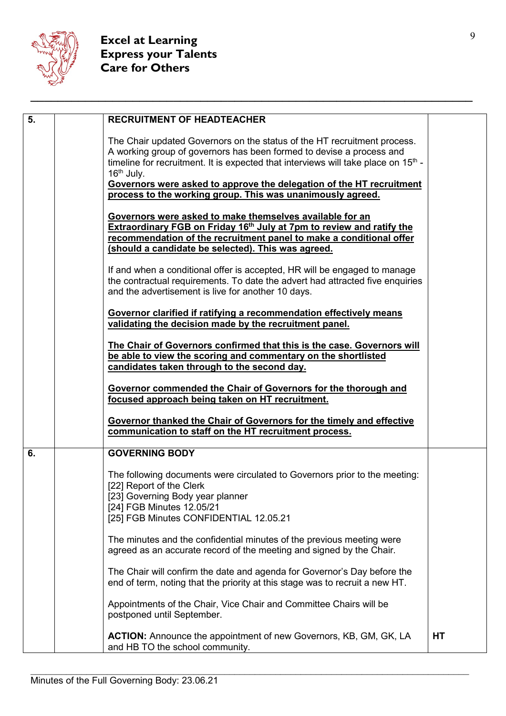

| $\overline{5}$ . | <b>RECRUITMENT OF HEADTEACHER</b>                                                                                                                                                                                                                                          |    |
|------------------|----------------------------------------------------------------------------------------------------------------------------------------------------------------------------------------------------------------------------------------------------------------------------|----|
|                  | The Chair updated Governors on the status of the HT recruitment process.<br>A working group of governors has been formed to devise a process and<br>timeline for recruitment. It is expected that interviews will take place on 15 <sup>th</sup> -<br>$16th$ July.         |    |
|                  | Governors were asked to approve the delegation of the HT recruitment<br>process to the working group. This was unanimously agreed.                                                                                                                                         |    |
|                  | Governors were asked to make themselves available for an<br>Extraordinary FGB on Friday 16 <sup>th</sup> July at 7pm to review and ratify the<br>recommendation of the recruitment panel to make a conditional offer<br>(should a candidate be selected). This was agreed. |    |
|                  | If and when a conditional offer is accepted, HR will be engaged to manage<br>the contractual requirements. To date the advert had attracted five enquiries<br>and the advertisement is live for another 10 days.                                                           |    |
|                  | Governor clarified if ratifying a recommendation effectively means<br>validating the decision made by the recruitment panel.                                                                                                                                               |    |
|                  | The Chair of Governors confirmed that this is the case. Governors will<br>be able to view the scoring and commentary on the shortlisted<br>candidates taken through to the second day.                                                                                     |    |
|                  | Governor commended the Chair of Governors for the thorough and<br>focused approach being taken on HT recruitment.                                                                                                                                                          |    |
|                  | Governor thanked the Chair of Governors for the timely and effective<br>communication to staff on the HT recruitment process.                                                                                                                                              |    |
| 6.               | <b>GOVERNING BODY</b>                                                                                                                                                                                                                                                      |    |
|                  | The following documents were circulated to Governors prior to the meeting:<br>[22] Report of the Clerk<br>[23] Governing Body year planner<br>[24] FGB Minutes 12.05/21                                                                                                    |    |
|                  | [25] FGB Minutes CONFIDENTIAL 12.05.21                                                                                                                                                                                                                                     |    |
|                  | The minutes and the confidential minutes of the previous meeting were<br>agreed as an accurate record of the meeting and signed by the Chair.                                                                                                                              |    |
|                  | The Chair will confirm the date and agenda for Governor's Day before the<br>end of term, noting that the priority at this stage was to recruit a new HT.                                                                                                                   |    |
|                  | Appointments of the Chair, Vice Chair and Committee Chairs will be<br>postponed until September.                                                                                                                                                                           |    |
|                  | <b>ACTION:</b> Announce the appointment of new Governors, KB, GM, GK, LA<br>and HB TO the school community.                                                                                                                                                                | HT |